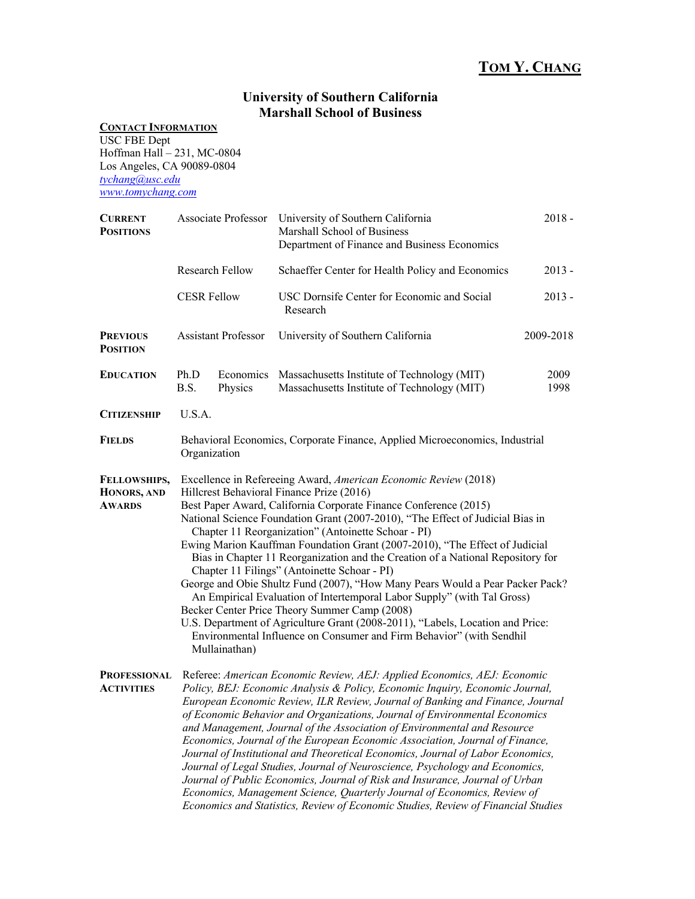## **TOM Y. CHANG**

## **University of Southern California Marshall School of Business**

## **CONTACT INFORMATION**

USC FBE Dept Hoffman Hall – 231, MC-0804 Los Angeles, CA 90089-0804 *tychang@usc.edu www.tomychang.com*

| <b>CURRENT</b><br><b>POSITIONS</b>           |                                                                                                                                                                                                                                                                                                                                                                                                                                                                                                                                                                                                                                                                                                                                                                                                                                                                                                                                     |                      | Associate Professor University of Southern California<br>Marshall School of Business<br>Department of Finance and Business Economics | $2018 -$     |  |  |
|----------------------------------------------|-------------------------------------------------------------------------------------------------------------------------------------------------------------------------------------------------------------------------------------------------------------------------------------------------------------------------------------------------------------------------------------------------------------------------------------------------------------------------------------------------------------------------------------------------------------------------------------------------------------------------------------------------------------------------------------------------------------------------------------------------------------------------------------------------------------------------------------------------------------------------------------------------------------------------------------|----------------------|--------------------------------------------------------------------------------------------------------------------------------------|--------------|--|--|
|                                              | Research Fellow                                                                                                                                                                                                                                                                                                                                                                                                                                                                                                                                                                                                                                                                                                                                                                                                                                                                                                                     |                      | Schaeffer Center for Health Policy and Economics                                                                                     | $2013 -$     |  |  |
|                                              | <b>CESR Fellow</b>                                                                                                                                                                                                                                                                                                                                                                                                                                                                                                                                                                                                                                                                                                                                                                                                                                                                                                                  |                      | USC Dornsife Center for Economic and Social<br>Research                                                                              | $2013 -$     |  |  |
| <b>PREVIOUS</b><br><b>POSITION</b>           | <b>Assistant Professor</b>                                                                                                                                                                                                                                                                                                                                                                                                                                                                                                                                                                                                                                                                                                                                                                                                                                                                                                          |                      | University of Southern California                                                                                                    | 2009-2018    |  |  |
| <b>EDUCATION</b>                             | Ph.D<br>B.S.                                                                                                                                                                                                                                                                                                                                                                                                                                                                                                                                                                                                                                                                                                                                                                                                                                                                                                                        | Economics<br>Physics | Massachusetts Institute of Technology (MIT)<br>Massachusetts Institute of Technology (MIT)                                           | 2009<br>1998 |  |  |
| <b>CITIZENSHIP</b>                           | U.S.A.                                                                                                                                                                                                                                                                                                                                                                                                                                                                                                                                                                                                                                                                                                                                                                                                                                                                                                                              |                      |                                                                                                                                      |              |  |  |
| <b>FIELDS</b>                                | Behavioral Economics, Corporate Finance, Applied Microeconomics, Industrial<br>Organization                                                                                                                                                                                                                                                                                                                                                                                                                                                                                                                                                                                                                                                                                                                                                                                                                                         |                      |                                                                                                                                      |              |  |  |
| FELLOWSHIPS,<br>HONORS, AND<br><b>AWARDS</b> | Excellence in Refereeing Award, American Economic Review (2018)<br>Hillcrest Behavioral Finance Prize (2016)<br>Best Paper Award, California Corporate Finance Conference (2015)<br>National Science Foundation Grant (2007-2010), "The Effect of Judicial Bias in<br>Chapter 11 Reorganization" (Antoinette Schoar - PI)<br>Ewing Marion Kauffman Foundation Grant (2007-2010), "The Effect of Judicial<br>Bias in Chapter 11 Reorganization and the Creation of a National Repository for<br>Chapter 11 Filings" (Antoinette Schoar - PI)<br>George and Obie Shultz Fund (2007), "How Many Pears Would a Pear Packer Pack?<br>An Empirical Evaluation of Intertemporal Labor Supply" (with Tal Gross)<br>Becker Center Price Theory Summer Camp (2008)<br>U.S. Department of Agriculture Grant (2008-2011), "Labels, Location and Price:<br>Environmental Influence on Consumer and Firm Behavior" (with Sendhil<br>Mullainathan) |                      |                                                                                                                                      |              |  |  |
| <b>PROFESSIONAL</b><br><b>ACTIVITIES</b>     | Referee: American Economic Review, AEJ: Applied Economics, AEJ: Economic<br>Policy, BEJ: Economic Analysis & Policy, Economic Inquiry, Economic Journal,<br>European Economic Review, ILR Review, Journal of Banking and Finance, Journal<br>of Economic Behavior and Organizations, Journal of Environmental Economics<br>and Management, Journal of the Association of Environmental and Resource<br>Economics, Journal of the European Economic Association, Journal of Finance,<br>Journal of Institutional and Theoretical Economics, Journal of Labor Economics,<br>Journal of Legal Studies, Journal of Neuroscience, Psychology and Economics,<br>Journal of Public Economics, Journal of Risk and Insurance, Journal of Urban<br>Economics, Management Science, Quarterly Journal of Economics, Review of<br>Economics and Statistics, Review of Economic Studies, Review of Financial Studies                             |                      |                                                                                                                                      |              |  |  |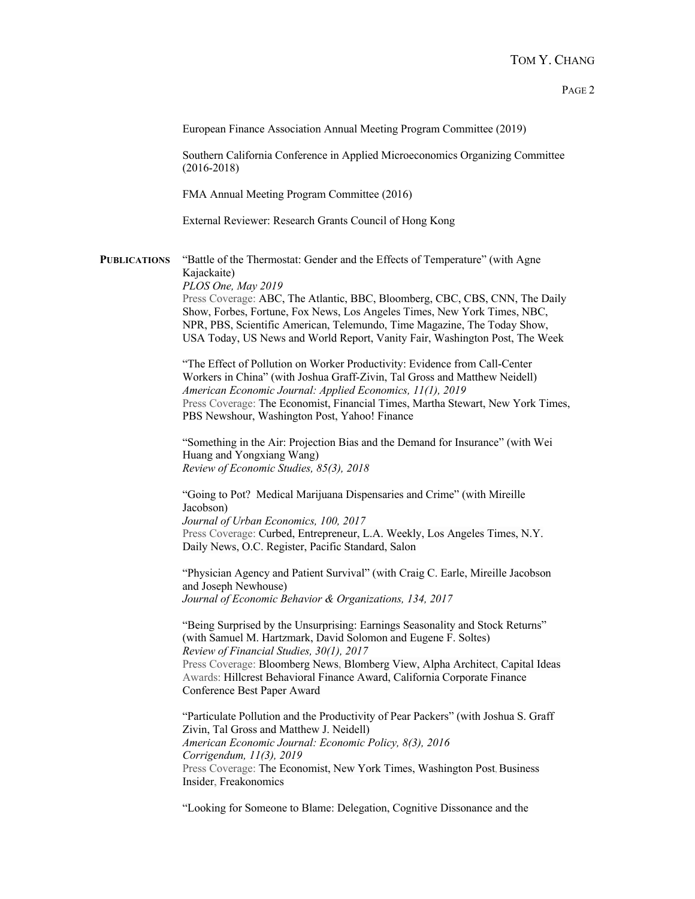European Finance Association Annual Meeting Program Committee (2019)

Southern California Conference in Applied Microeconomics Organizing Committee (2016-2018)

FMA Annual Meeting Program Committee (2016)

External Reviewer: Research Grants Council of Hong Kong

**PUBLICATIONS** "Battle of the Thermostat: Gender and the Effects of Temperature" (with Agne Kajackaite) *PLOS One, May 2019*

Press Coverage: ABC, The Atlantic, BBC, Bloomberg, CBC, CBS, CNN, The Daily Show, Forbes, Fortune, Fox News, Los Angeles Times, New York Times, NBC, NPR, PBS, Scientific American, Telemundo, Time Magazine, The Today Show, USA Today, US News and World Report, Vanity Fair, Washington Post, The Week

"The Effect of Pollution on Worker Productivity: Evidence from Call-Center Workers in China" (with Joshua Graff-Zivin, Tal Gross and Matthew Neidell) *American Economic Journal: Applied Economics, 11(1), 2019* Press Coverage: The Economist, Financial Times, Martha Stewart, New York Times, PBS Newshour, Washington Post, Yahoo! Finance

"Something in the Air: Projection Bias and the Demand for Insurance" (with Wei Huang and Yongxiang Wang) *Review of Economic Studies, 85(3), 2018*

"Going to Pot? Medical Marijuana Dispensaries and Crime" (with Mireille Jacobson) *Journal of Urban Economics, 100, 2017* Press Coverage: Curbed, Entrepreneur, L.A. Weekly, Los Angeles Times, N.Y. Daily News, O.C. Register, Pacific Standard, Salon

"Physician Agency and Patient Survival" (with Craig C. Earle, Mireille Jacobson and Joseph Newhouse) *Journal of Economic Behavior & Organizations, 134, 2017*

"Being Surprised by the Unsurprising: Earnings Seasonality and Stock Returns" (with Samuel M. Hartzmark, David Solomon and Eugene F. Soltes) *Review of Financial Studies, 30(1), 2017* Press Coverage: Bloomberg News, Blomberg View, Alpha Architect, Capital Ideas Awards: Hillcrest Behavioral Finance Award, California Corporate Finance Conference Best Paper Award

"Particulate Pollution and the Productivity of Pear Packers" (with Joshua S. Graff Zivin, Tal Gross and Matthew J. Neidell) *American Economic Journal: Economic Policy, 8(3), 2016 Corrigendum, 11(3), 2019* Press Coverage: The Economist, New York Times, Washington Post, Business Insider, Freakonomics

"Looking for Someone to Blame: Delegation, Cognitive Dissonance and the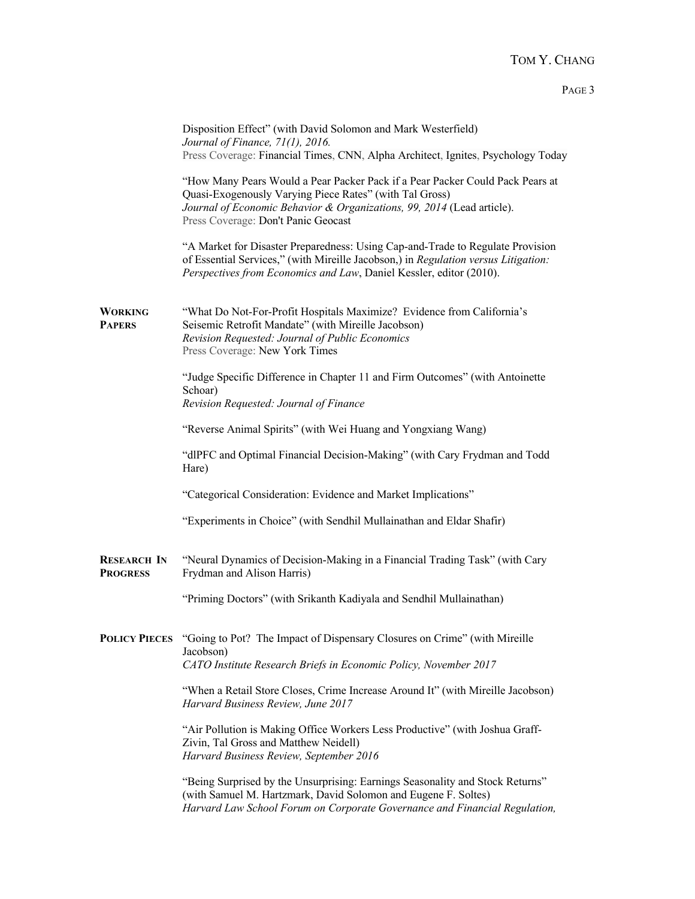|                                       | Disposition Effect" (with David Solomon and Mark Westerfield)<br>Journal of Finance, 71(1), 2016.                                                                                                                                                         |  |  |  |  |  |
|---------------------------------------|-----------------------------------------------------------------------------------------------------------------------------------------------------------------------------------------------------------------------------------------------------------|--|--|--|--|--|
|                                       | Press Coverage: Financial Times, CNN, Alpha Architect, Ignites, Psychology Today                                                                                                                                                                          |  |  |  |  |  |
|                                       | "How Many Pears Would a Pear Packer Pack if a Pear Packer Could Pack Pears at<br>Quasi-Exogenously Varying Piece Rates" (with Tal Gross)<br>Journal of Economic Behavior & Organizations, 99, 2014 (Lead article).<br>Press Coverage: Don't Panic Geocast |  |  |  |  |  |
|                                       | "A Market for Disaster Preparedness: Using Cap-and-Trade to Regulate Provision<br>of Essential Services," (with Mireille Jacobson,) in Regulation versus Litigation:<br>Perspectives from Economics and Law, Daniel Kessler, editor (2010).               |  |  |  |  |  |
| <b>WORKING</b><br><b>PAPERS</b>       | "What Do Not-For-Profit Hospitals Maximize? Evidence from California's<br>Seisemic Retrofit Mandate" (with Mireille Jacobson)<br>Revision Requested: Journal of Public Economics<br>Press Coverage: New York Times                                        |  |  |  |  |  |
|                                       | "Judge Specific Difference in Chapter 11 and Firm Outcomes" (with Antoinette<br>Schoar)<br>Revision Requested: Journal of Finance                                                                                                                         |  |  |  |  |  |
|                                       | "Reverse Animal Spirits" (with Wei Huang and Yongxiang Wang)                                                                                                                                                                                              |  |  |  |  |  |
|                                       | "dlPFC and Optimal Financial Decision-Making" (with Cary Frydman and Todd<br>Hare)                                                                                                                                                                        |  |  |  |  |  |
|                                       | "Categorical Consideration: Evidence and Market Implications"                                                                                                                                                                                             |  |  |  |  |  |
|                                       | "Experiments in Choice" (with Sendhil Mullainathan and Eldar Shafir)                                                                                                                                                                                      |  |  |  |  |  |
| <b>RESEARCH IN</b><br><b>PROGRESS</b> | "Neural Dynamics of Decision-Making in a Financial Trading Task" (with Cary<br>Frydman and Alison Harris)                                                                                                                                                 |  |  |  |  |  |
|                                       | "Priming Doctors" (with Srikanth Kadiyala and Sendhil Mullainathan)                                                                                                                                                                                       |  |  |  |  |  |
| <b>POLICY PIECES</b>                  | "Going to Pot? The Impact of Dispensary Closures on Crime" (with Mireille<br>Jacobson)<br>CATO Institute Research Briefs in Economic Policy, November 2017                                                                                                |  |  |  |  |  |
|                                       | "When a Retail Store Closes, Crime Increase Around It" (with Mireille Jacobson)<br>Harvard Business Review, June 2017                                                                                                                                     |  |  |  |  |  |
|                                       | "Air Pollution is Making Office Workers Less Productive" (with Joshua Graff-<br>Zivin, Tal Gross and Matthew Neidell)<br>Harvard Business Review, September 2016                                                                                          |  |  |  |  |  |
|                                       | "Being Surprised by the Unsurprising: Earnings Seasonality and Stock Returns"<br>(with Samuel M. Hartzmark, David Solomon and Eugene F. Soltes)<br>Harvard Law School Forum on Corporate Governance and Financial Regulation,                             |  |  |  |  |  |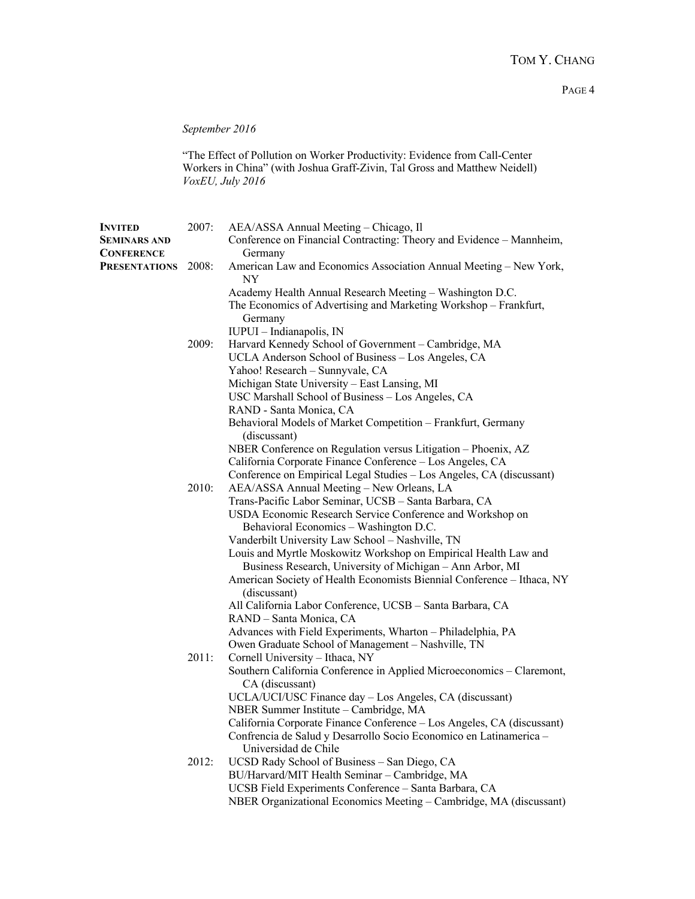*September 2016*

"The Effect of Pollution on Worker Productivity: Evidence from Call-Center Workers in China" (with Joshua Graff-Zivin, Tal Gross and Matthew Neidell) *VoxEU, July 2016*

| <b>INVITED</b>       | 2007: | AEA/ASSA Annual Meeting - Chicago, Il                                                              |  |
|----------------------|-------|----------------------------------------------------------------------------------------------------|--|
| <b>SEMINARS AND</b>  |       | Conference on Financial Contracting: Theory and Evidence - Mannheim,                               |  |
| <b>CONFERENCE</b>    |       | Germany                                                                                            |  |
| <b>PRESENTATIONS</b> | 2008: | American Law and Economics Association Annual Meeting - New York,<br>NY                            |  |
|                      |       | Academy Health Annual Research Meeting - Washington D.C.                                           |  |
|                      |       | The Economics of Advertising and Marketing Workshop - Frankfurt,                                   |  |
|                      |       | Germany                                                                                            |  |
|                      |       | IUPUI - Indianapolis, IN                                                                           |  |
|                      | 2009: | Harvard Kennedy School of Government - Cambridge, MA                                               |  |
|                      |       | UCLA Anderson School of Business - Los Angeles, CA                                                 |  |
|                      |       | Yahoo! Research - Sunnyvale, CA                                                                    |  |
|                      |       | Michigan State University - East Lansing, MI                                                       |  |
|                      |       | USC Marshall School of Business - Los Angeles, CA                                                  |  |
|                      |       | RAND - Santa Monica, CA                                                                            |  |
|                      |       | Behavioral Models of Market Competition - Frankfurt, Germany                                       |  |
|                      |       | (discussant)                                                                                       |  |
|                      |       | NBER Conference on Regulation versus Litigation - Phoenix, AZ                                      |  |
|                      |       | California Corporate Finance Conference - Los Angeles, CA                                          |  |
|                      | 2010: | Conference on Empirical Legal Studies - Los Angeles, CA (discussant)                               |  |
|                      |       | AEA/ASSA Annual Meeting - New Orleans, LA<br>Trans-Pacific Labor Seminar, UCSB - Santa Barbara, CA |  |
|                      |       | USDA Economic Research Service Conference and Workshop on                                          |  |
|                      |       | Behavioral Economics - Washington D.C.                                                             |  |
|                      |       | Vanderbilt University Law School - Nashville, TN                                                   |  |
|                      |       | Louis and Myrtle Moskowitz Workshop on Empirical Health Law and                                    |  |
|                      |       | Business Research, University of Michigan - Ann Arbor, MI                                          |  |
|                      |       | American Society of Health Economists Biennial Conference - Ithaca, NY                             |  |
|                      |       | (discussant)                                                                                       |  |
|                      |       | All California Labor Conference, UCSB - Santa Barbara, CA                                          |  |
|                      |       | RAND - Santa Monica, CA                                                                            |  |
|                      |       | Advances with Field Experiments, Wharton - Philadelphia, PA                                        |  |
|                      |       | Owen Graduate School of Management - Nashville, TN                                                 |  |
|                      | 2011: | Cornell University - Ithaca, NY                                                                    |  |
|                      |       | Southern California Conference in Applied Microeconomics - Claremont,                              |  |
|                      |       | CA (discussant)                                                                                    |  |
|                      |       | UCLA/UCI/USC Finance day - Los Angeles, CA (discussant)                                            |  |
|                      |       | NBER Summer Institute - Cambridge, MA                                                              |  |
|                      |       | California Corporate Finance Conference - Los Angeles, CA (discussant)                             |  |
|                      |       | Confrencia de Salud y Desarrollo Socio Economico en Latinamerica -                                 |  |
|                      |       | Universidad de Chile                                                                               |  |
|                      | 2012: | UCSD Rady School of Business - San Diego, CA<br>BU/Harvard/MIT Health Seminar - Cambridge, MA      |  |
|                      |       | UCSB Field Experiments Conference - Santa Barbara, CA                                              |  |
|                      |       | NBER Organizational Economics Meeting - Cambridge, MA (discussant)                                 |  |
|                      |       |                                                                                                    |  |